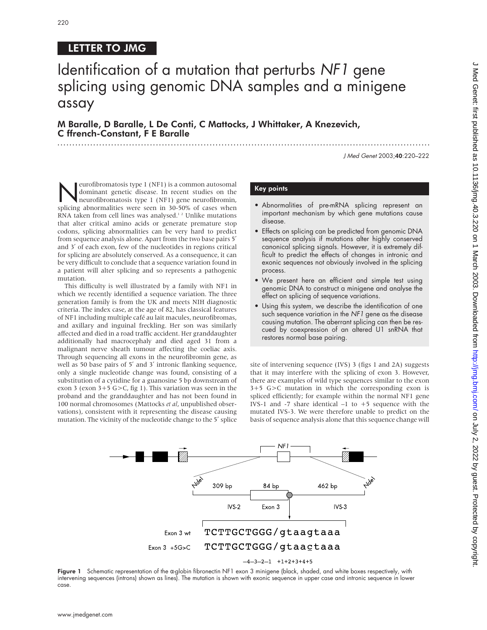## LETTER TO JMG

# Identification of a mutation that perturbs NF1 gene splicing using genomic DNA samples and a minigene assay

M Baralle, D Baralle, L De Conti, C Mattocks, J Whittaker, A Knezevich, C ffrench-Constant, F E Baralle

J Med Genet 2003;40:220–222

Neurofibromatosis type 1 (NF1) is a common autosomal<br>dominant genetic disease. In recent studies on the<br>neurofibromatosis type 1 (NF1) gene neurofibromin,<br>splicing abnormalities were seen in 30,50% of cases when dominant genetic disease. In recent studies on the splicing abnormalities were seen in 30-50% of cases when RNA taken from cell lines was analysed.<sup>12</sup> Unlike mutations that alter critical amino acids or generate premature stop codons, splicing abnormalities can be very hard to predict from sequence analysis alone. Apart from the two base pairs 5' and 3′ of each exon, few of the nucleotides in regions critical for splicing are absolutely conserved. As a consequence, it can be very difficult to conclude that a sequence variation found in a patient will alter splicing and so represents a pathogenic mutation.

This difficulty is well illustrated by a family with NF1 in which we recently identified a sequence variation. The three generation family is from the UK and meets NIH diagnostic criteria. The index case, at the age of 82, has classical features of NF1 including multiple café au lait macules, neurofibromas, and axillary and inguinal freckling. Her son was similarly affected and died in a road traffic accident. Her granddaughter additionally had macrocephaly and died aged 31 from a malignant nerve sheath tumour affecting the coeliac axis. Through sequencing all exons in the neurofibromin gene, as well as 50 base pairs of 5′ and 3′ intronic flanking sequence, only a single nucleotide change was found, consisting of a substitution of a cytidine for a guanosine 5 bp downstream of exon 3 (exon 3+5 G>C, fig 1). This variation was seen in the proband and the granddaughter and has not been found in 100 normal chromosomes (Mattocks *et al*, unpublished observations), consistent with it representing the disease causing mutation. The vicinity of the nucleotide change to the 5′ splice

## Key points

- Abnormalities of pre-mRNA splicing represent an important mechanism by which gene mutations cause disease.
- Effects on splicing can be predicted from genomic DNA sequence analysis if mutations alter highly conserved canonical splicing signals. However, it is extremely difficult to predict the effects of changes in intronic and exonic sequences not obviously involved in the splicing process.
- We present here an efficient and simple test using genomic DNA to construct a minigene and analyse the effect on splicing of sequence variations.
- Using this system, we describe the identification of one such sequence variation in the NF1 gene as the disease causing mutation. The aberrant splicing can then be rescued by coexpression of an altered U1 snRNA that restores normal base pairing.

site of intervening sequence (IVS) 3 (figs 1 and 2A) suggests that it may interfere with the splicing of exon 3. However, there are examples of wild type sequences similar to the exon 3+5 G>C mutation in which the corresponding exon is spliced efficiently; for example within the normal NF1 gene IVS-1 and -7 share identical  $-1$  to  $+5$  sequence with the mutated IVS-3. We were therefore unable to predict on the basis of sequence analysis alone that this sequence change will



Figure 1 Schematic representation of the α-globin fibronectin NF1 exon 3 minigene (black, shaded, and white boxes respectively, with intervening sequences (introns) shown as lines). The mutation is shown with exonic sequence in upper case and intronic sequence in lower case.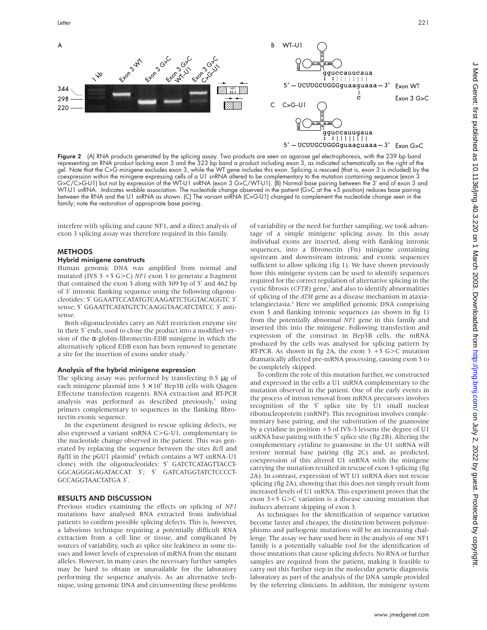

**Figure 2** (A) RNA products generated by the splicing assay. Two products are seen on agarose gel electrophoresis, with the 239 bp band representing an RNA product lacking exon 3 and the 323 bp band a product including exon 3, as indicated schematically on the right of the gel. Note that the C>G minigene excludes exon 3, while the WT gene includes this exon. Splicing is rescued (that is, exon 3 is included) by the coexpression within the minigene expressing cells of a U1 snRNA altered to be complementary to the mutation containing sequence (exon 3 G>C/C>G-U1) but not by expression of the WT-U1 snRNA (exon 3 G>C/WT-U1). (B) Normal base pairing between the 3′ end of exon 3 and WT-U1 snRNA. :Indicates wobble association. The nucleotide change observed in the patient (G>C at the +5 position) reduces base pairing between the RNA and the U1 snRNA as shown. (C) The variant snRNA (C>G-U1) changed to complement the nucleotide change seen in the family; note the restoration of appropriate base pairing.

interfere with splicing and cause NF1, and a direct analysis of exon 3 splicing assay was therefore required in this family.

#### **METHODS**

#### Hybrid minigene constructs

Human genomic DNA was amplified from normal and mutated (IVS 3 +5 G>C) *NF1* exon 3 to generate a fragment that contained the exon 3 along with 309 bp of 5′ and 462 bp of 3′ intronic flanking sequence using the following oligonucleotides: 5′ GGAATTCCATATGTCAAGATTCTGGTACAGGTC 3′ sense; 5′ GGAATTCATATGTCTCAAGGTAACATCTATCC 3′ antisense.

Both oligonucleotides carry an *Nde*I restriction enzyme site in their 5′ ends, used to clone the product into a modified version of the  $\alpha$ -globin-fibronectin-EDB minigene in which the alternatively spliced EDB exon has been removed to generate a site for the insertion of exons under study.<sup>3</sup>

### Analysis of the hybrid minigene expression

The splicing assay was performed by transfecting 0.5 µg of each minigene plasmid into  $3 \times 10^5$  Hep3B cells with Qiagen Effectene transfection reagents. RNA extraction and RT-PCR analysis was performed as described previously,<sup>5</sup> using primers complementary to sequences in the flanking fibronectin exonic sequence.

In the experiment designed to rescue splicing defects, we also expressed a variant snRNA C>G-U1, complementary to the nucleotide change observed in the patient. This was generated by replacing the sequence between the sites *Bcl*I and *BglII* in the pGU1 plasmid<sup>4</sup> (which contains a WT snRNA-U1 clone) with the oligonucleotides: 5′ GATCTCATAGTTACCT-GGCAGGGGAGATACCAT 3′; 5′ GATCATGGTATCTCCCCT-GCCAGGTAACTATGA 3′.

#### RESULTS AND DISCUSSION

Previous studies examining the effects on splicing of *NF1* mutations have analysed RNA extracted from individual patients to confirm possible splicing defects. This is, however, a laborious technique requiring a potentially difficult RNA extraction from a cell line or tissue, and complicated by sources of variability, such as splice site leakiness in some tissues and lower levels of expression of mRNA from the mutant alleles. However, in many cases the necessary further samples may be hard to obtain or unavailable for the laboratory performing the sequence analysis. As an alternative technique, using genomic DNA and circumventing these problems

of variability or the need for further sampling, we took advantage of a simple minigene splicing assay. In this assay individual exons are inserted, along with flanking intronic sequences, into a fibronectin (Fn) minigene containing upstream and downstream intronic and exonic sequences sufficient to allow splicing (fig 1). We have shown previously how this minigene system can be used to identify sequences required for the correct regulation of alternative splicing in the cystic fibrosis (*CFTR*) gene,<sup>3</sup> and also to identify abnormalities of splicing of the *ATM* gene as a disease mechanism in ataxiatelangiectasia.4 Here we amplified genomic DNA comprising exon 3 and flanking intronic sequences (as shown in fig 1) from the potentially abnormal *NF1* gene in this family and inserted this into the minigene. Following transfection and expression of the construct in Hep3B cells, the mRNA produced by the cells was analysed for splicing pattern by RT-PCR. As shown in fig 2A, the exon  $3 + 5$  G $>$ C mutation dramatically affected pre-mRNA processing, causing exon 3 to be completely skipped.

To confirm the role of this mutation further, we constructed and expressed in the cells a U1 snRNA complementary to the mutation observed in the patient. One of the early events in the process of intron removal from mRNA precursors involves recognition of the 5′ splice site by U1 small nuclear ribonucleoprotein (snRNP). This recognition involves complementary base pairing, and the substitution of the guanosine by a cytidine in position +5 of IVS-3 lessens the degree of U1 snRNA base pairing with the 5′ splice site (fig 2B). Altering the complementary cytidine to guanosine in the U1 snRNA will restore normal base pairing (fig 2C) and, as predicted, coexpression of this altered U1 snRNA with the minigene carrying the mutation resulted in rescue of exon 3 splicing (fig 2A). In contrast, expression of WT U1 snRNA does not rescue splicing (fig 2A), showing that this does not simply result from increased levels of U1 snRNA. This experiment proves that the exon 3+5 G>C variation is a disease causing mutation that induces aberrant skipping of exon 3.

As techniques for the identification of sequence variation become faster and cheaper, the distinction between polymorphisms and pathogenic mutations will be an increasing challenge. The assay we have used here in the analysis of one NF1 family is a potentially valuable tool for the identification of those mutations that cause splicing defects. No RNA or further samples are required from the patient, making it feasible to carry out this further step in the molecular genetic diagnostic laboratory as part of the analysis of the DNA sample provided by the referring clinicians. In addition, the minigene system